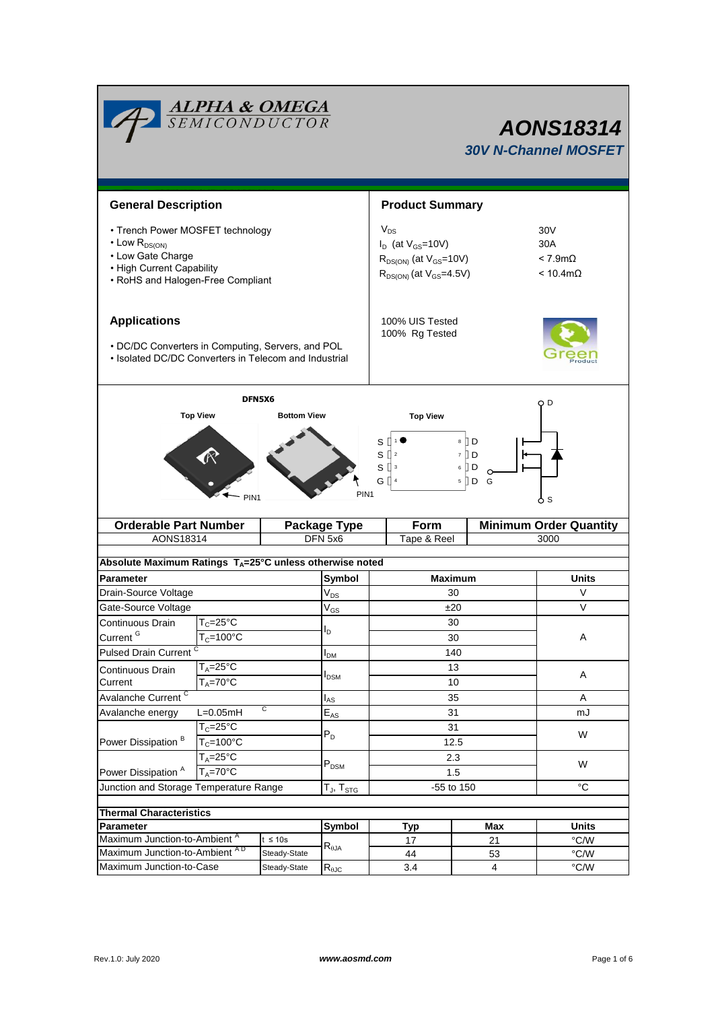| <b>ALPHA &amp; OMEGA</b><br>SEMICONDUCTOR<br><b>AONS18314</b><br><b>30V N-Channel MOSFET</b>                                                        |                                                         |                              |                                    |                                                                                                             |                                                                 |                        |  |  |  |  |
|-----------------------------------------------------------------------------------------------------------------------------------------------------|---------------------------------------------------------|------------------------------|------------------------------------|-------------------------------------------------------------------------------------------------------------|-----------------------------------------------------------------|------------------------|--|--|--|--|
|                                                                                                                                                     | <b>General Description</b>                              |                              |                                    | <b>Product Summary</b>                                                                                      |                                                                 |                        |  |  |  |  |
| • Trench Power MOSFET technology<br>$\cdot$ Low $R_{DS(ON)}$<br>• Low Gate Charge<br>• High Current Capability<br>• RoHS and Halogen-Free Compliant |                                                         |                              |                                    | $V_{DS}$<br>$I_D$ (at $V_{GS}$ =10V)<br>$R_{DS(ON)}$ (at $V_{GS}$ =10V)<br>$R_{DS(ON)}$ (at $V_{GS}$ =4.5V) | 30 <sub>V</sub><br>30A<br>$< 7.9m\Omega$<br>$< 10.4$ m $\Omega$ |                        |  |  |  |  |
| <b>Applications</b><br>• DC/DC Converters in Computing, Servers, and POL<br>• Isolated DC/DC Converters in Telecom and Industrial                   |                                                         |                              | 100% UIS Tested<br>100% Rg Tested  |                                                                                                             |                                                                 |                        |  |  |  |  |
|                                                                                                                                                     | DFN5X6<br><b>Top View</b><br>PIN <sub>1</sub>           | <b>Bottom View</b>           | PIN <sub>1</sub>                   | <b>Top View</b><br>S<br>S<br>S<br>$\overline{\mathbf{3}}$<br>GП<br>$\overline{4}$                           | O D<br>ბs                                                       |                        |  |  |  |  |
| <b>Orderable Part Number</b>                                                                                                                        |                                                         | <b>Package Type</b>          | Form                               |                                                                                                             | <b>Minimum Order Quantity</b>                                   |                        |  |  |  |  |
| AONS18314<br>DFN 5x6<br>Tape & Reel<br>3000<br>Absolute Maximum Ratings $T_A = 25^\circ \text{C}$ unless otherwise noted                            |                                                         |                              |                                    |                                                                                                             |                                                                 |                        |  |  |  |  |
| <b>Parameter</b>                                                                                                                                    |                                                         |                              | Symbol                             |                                                                                                             | <b>Maximum</b>                                                  | <b>Units</b>           |  |  |  |  |
| Drain-Source Voltage                                                                                                                                |                                                         |                              | $V_{DS}$                           | 30                                                                                                          |                                                                 | V                      |  |  |  |  |
| Gate-Source Voltage                                                                                                                                 |                                                         |                              | $\mathsf{V}_{\mathsf{GS}}$         | ±20                                                                                                         | $\vee$                                                          |                        |  |  |  |  |
| Continuous Drain<br>Current <sup>G</sup>                                                                                                            | $T_c = 25$ °C<br>$T_c = 100^{\circ}$ C                  |                              | l <sub>D</sub>                     | 30<br>30                                                                                                    | Α                                                               |                        |  |  |  |  |
| <b>Pulsed Drain Current</b>                                                                                                                         |                                                         |                              | I <sub>DM</sub>                    | 140                                                                                                         |                                                                 |                        |  |  |  |  |
| Current                                                                                                                                             | $T_A = 25$ °C<br>Continuous Drain<br>$T_A = 70^\circ C$ |                              | l <sub>DSM</sub>                   | 13<br>10                                                                                                    |                                                                 | A                      |  |  |  |  |
| Avalanche Current <sup>C</sup>                                                                                                                      |                                                         |                              | $I_{AS}$                           |                                                                                                             | 35                                                              | Α                      |  |  |  |  |
| C<br>Avalanche energy<br>$L=0.05mH$                                                                                                                 |                                                         |                              | $\mathsf{E}_{\mathsf{AS}}$         | 31                                                                                                          | mJ                                                              |                        |  |  |  |  |
| $T_c = 25$ °C<br>Power Dissipation <sup>B</sup><br>$T_c = 100^{\circ}$ C                                                                            |                                                         |                              | $P_D$                              | 31<br>12.5                                                                                                  | W                                                               |                        |  |  |  |  |
| $T_A = 25^\circ C$<br>$T_A = 70^\circ C$<br>Power Dissipation <sup>A</sup>                                                                          |                                                         |                              | $P_{DSM}$                          | 2.3<br>1.5                                                                                                  | W                                                               |                        |  |  |  |  |
| Junction and Storage Temperature Range                                                                                                              |                                                         |                              | $T_{\sf J},\, T_{\sf STG}$         | -55 to 150                                                                                                  | $^{\circ}C$                                                     |                        |  |  |  |  |
|                                                                                                                                                     |                                                         |                              |                                    |                                                                                                             |                                                                 |                        |  |  |  |  |
| <b>Thermal Characteristics</b>                                                                                                                      |                                                         |                              |                                    |                                                                                                             |                                                                 |                        |  |  |  |  |
| <b>Parameter</b>                                                                                                                                    |                                                         |                              | Symbol                             | Typ                                                                                                         | <b>Max</b>                                                      | <b>Units</b>           |  |  |  |  |
|                                                                                                                                                     |                                                         |                              |                                    |                                                                                                             |                                                                 |                        |  |  |  |  |
| Maximum Junction-to-Ambient <sup>A</sup><br>Maximum Junction-to-Ambient AD                                                                          |                                                         | $t \leq 10s$<br>Steady-State | $\mathsf{R}_{\uptheta\mathsf{JA}}$ | 17<br>44                                                                                                    | 21<br>53                                                        | °C/W<br>$^{\circ}$ C/W |  |  |  |  |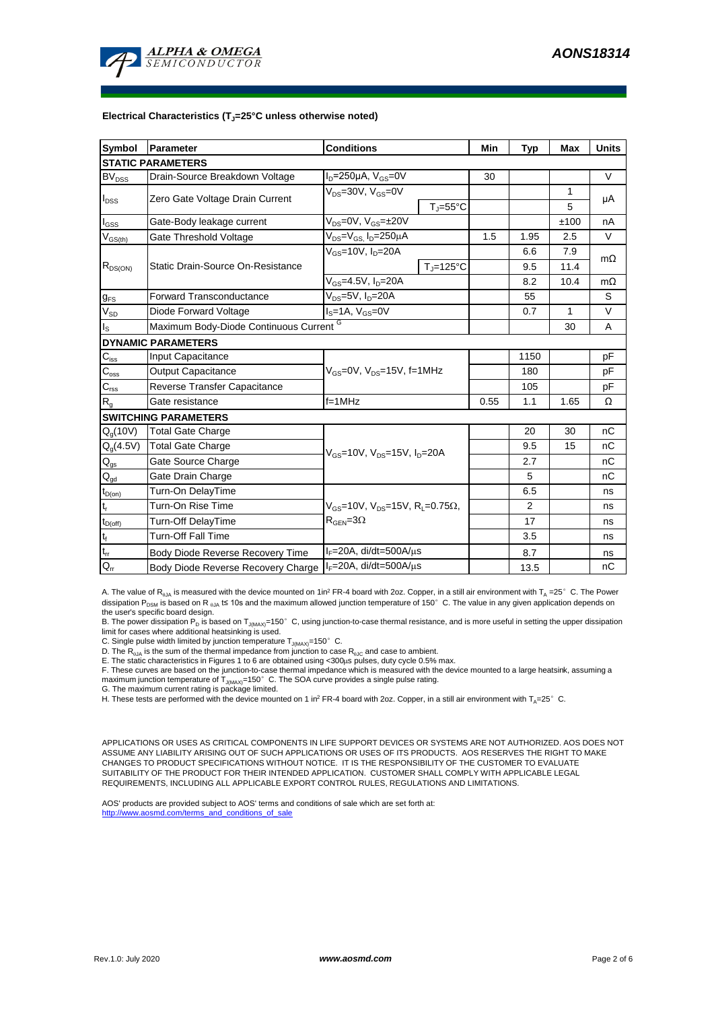

#### **Electrical Characteristics (TJ=25°C unless otherwise noted)**

| <b>Symbol</b>                                       | Parameter                               | <b>Conditions</b>                                                                           | Min                       | <b>Typ</b> | <b>Max</b> | <b>Units</b> |           |  |  |  |  |  |
|-----------------------------------------------------|-----------------------------------------|---------------------------------------------------------------------------------------------|---------------------------|------------|------------|--------------|-----------|--|--|--|--|--|
| <b>STATIC PARAMETERS</b>                            |                                         |                                                                                             |                           |            |            |              |           |  |  |  |  |  |
| $BV_{DSS}$                                          | Drain-Source Breakdown Voltage          | $I_D = 250 \mu A$ , $V_{GS} = 0V$                                                           |                           | 30         |            |              | $\vee$    |  |  |  |  |  |
| $I_{DSS}$                                           | Zero Gate Voltage Drain Current         | $V_{DS}$ =30V, $V_{GS}$ =0V                                                                 |                           |            |            | 1            | μA        |  |  |  |  |  |
|                                                     |                                         |                                                                                             | $T_{\rm J} = 55^{\circ}C$ |            |            | 5            |           |  |  |  |  |  |
| l <sub>GSS</sub>                                    | Gate-Body leakage current               | $V_{DS}$ =0V, $V_{GS}$ = $\pm$ 20V                                                          |                           |            |            | ±100         | nA        |  |  |  |  |  |
| $\mathsf{V}_{\underline{\mathsf{GS}(\mathsf{th})}}$ | Gate Threshold Voltage                  | $V_{DS} = V_{GS}$ , $I_D = 250 \mu A$                                                       |                           | 1.5        | 1.95       | 2.5          | $\vee$    |  |  |  |  |  |
| $R_{DS(ON)}$                                        | Static Drain-Source On-Resistance       | $V_{GS}$ =10V, $I_D$ =20A                                                                   |                           |            | 6.6        | 7.9          | $m\Omega$ |  |  |  |  |  |
|                                                     |                                         |                                                                                             | $T_{\rm J}$ =125°C        |            | 9.5        | 11.4         |           |  |  |  |  |  |
|                                                     |                                         | $V_{GS}$ =4.5V, $I_D$ =20A                                                                  |                           | 8.2        | 10.4       | $m\Omega$    |           |  |  |  |  |  |
| $g_{FS}$                                            | <b>Forward Transconductance</b>         | $V_{DS}$ =5V, $I_D$ =20A                                                                    |                           |            | 55         |              | S         |  |  |  |  |  |
| $V_{SD}$                                            | Diode Forward Voltage                   | $IS=1A, VGS=0V$                                                                             |                           |            | 0.7        | 1            | $\vee$    |  |  |  |  |  |
| Is                                                  | Maximum Body-Diode Continuous Current G |                                                                                             |                           |            | 30         | A            |           |  |  |  |  |  |
|                                                     | <b>DYNAMIC PARAMETERS</b>               |                                                                                             |                           |            |            |              |           |  |  |  |  |  |
| $C_{\text{iss}}$                                    | Input Capacitance                       | $V_{GS}$ =0V, $V_{DS}$ =15V, f=1MHz                                                         |                           |            | 1150       |              | pF        |  |  |  |  |  |
| $C_{\rm oss}$                                       | <b>Output Capacitance</b>               |                                                                                             |                           |            | 180        |              | рF        |  |  |  |  |  |
| $C_{\text{rss}}$                                    | Reverse Transfer Capacitance            |                                                                                             |                           | 105        |            | рF           |           |  |  |  |  |  |
| $R_{g}$                                             | Gate resistance                         | $f = 1$ MHz                                                                                 |                           | 0.55       | 1.1        | 1.65         | Ω         |  |  |  |  |  |
|                                                     | <b>SWITCHING PARAMETERS</b>             |                                                                                             |                           |            |            |              |           |  |  |  |  |  |
| $Q_q(10V)$                                          | <b>Total Gate Charge</b>                | $V_{\text{GS}}$ =10V, $V_{\text{DS}}$ =15V, $I_{\text{D}}$ =20A                             |                           |            | 20         | 30           | nC        |  |  |  |  |  |
| $Q_g(4.5V)$                                         | <b>Total Gate Charge</b>                |                                                                                             |                           |            | 9.5        | 15           | nC        |  |  |  |  |  |
| $Q_{gs}$                                            | Gate Source Charge                      |                                                                                             |                           |            | 2.7        |              | nC        |  |  |  |  |  |
| $\mathsf{Q}_{\text{gd}}$                            | Gate Drain Charge                       |                                                                                             |                           |            | 5          |              | nC        |  |  |  |  |  |
| $t_{D(on)}$                                         | Turn-On DelayTime                       |                                                                                             |                           |            | 6.5        |              | ns        |  |  |  |  |  |
| t,                                                  | Turn-On Rise Time                       | $V_{GS}$ =10V, $V_{DS}$ =15V, R <sub>L</sub> =0.75 $\Omega$ ,<br>$R_{\text{GEN}} = 3\Omega$ |                           |            | 2          |              | ns        |  |  |  |  |  |
| $t_{D(off)}$                                        | <b>Turn-Off DelayTime</b>               |                                                                                             |                           |            | 17         |              | ns        |  |  |  |  |  |
| $\mathsf{t}_{\mathsf{f}}$                           | <b>Turn-Off Fall Time</b>               |                                                                                             |                           |            | 3.5        |              | ns        |  |  |  |  |  |
| $\mathfrak{t}_{\text{rr}}$                          | Body Diode Reverse Recovery Time        | $I_F = 20A$ , di/dt=500A/ $\mu$ s                                                           |                           |            | 8.7        |              | ns        |  |  |  |  |  |
| $Q_{rr}$                                            | Body Diode Reverse Recovery Charge      | $I_F = 20A$ , di/dt=500A/ $\mu$ s                                                           |                           |            | 13.5       |              | nC        |  |  |  |  |  |

A. The value of R<sub>BJA</sub> is measured with the device mounted on 1in<sup>2</sup> FR-4 board with 2oz. Copper, in a still air environment with T<sub>A</sub> =25°C. The Power dissipation P<sub>DSM</sub> is based on R <sub>0JA</sub> t≤ 10s and the maximum allowed junction temperature of 150°C. The value in any given application depends on the user's specific board design.

B. The power dissipation P<sub>D</sub> is based on T<sub>J(MAX)</sub>=150°C, using junction-to-case thermal resistance, and is more useful in setting the upper dissipation limit for cases where additional heatsinking is used.

C. Single pulse width limited by junction temperature  $T_{J(MAX)}$ =150°C.

D. The  $R_{\theta JA}$  is the sum of the thermal impedance from junction to case  $R_{\theta JC}$  and case to ambient.

E. The static characteristics in Figures 1 to 6 are obtained using <300µs pulses, duty cycle 0.5% max.<br>F. These curves are based on the junction-to-case thermal impedance which is measured with the device mounted to a lar maximum junction temperature of  $T_{J(MAX)}$ =150°C. The SOA curve provides a single pulse rating.

G. The maximum current rating is package limited.

H. These tests are performed with the device mounted on 1 in<sup>2</sup> FR-4 board with 2oz. Copper, in a still air environment with T<sub>A</sub>=25°C.

APPLICATIONS OR USES AS CRITICAL COMPONENTS IN LIFE SUPPORT DEVICES OR SYSTEMS ARE NOT AUTHORIZED. AOS DOES NOT ASSUME ANY LIABILITY ARISING OUT OF SUCH APPLICATIONS OR USES OF ITS PRODUCTS. AOS RESERVES THE RIGHT TO MAKE CHANGES TO PRODUCT SPECIFICATIONS WITHOUT NOTICE. IT IS THE RESPONSIBILITY OF THE CUSTOMER TO EVALUATE SUITABILITY OF THE PRODUCT FOR THEIR INTENDED APPLICATION. CUSTOMER SHALL COMPLY WITH APPLICABLE LEGAL REQUIREMENTS, INCLUDING ALL APPLICABLE EXPORT CONTROL RULES, REGULATIONS AND LIMITATIONS.

AOS' products are provided subject to AOS' terms and conditions of sale which are set forth at: http://www.aosmd.com/terms\_and\_conditions\_of\_sale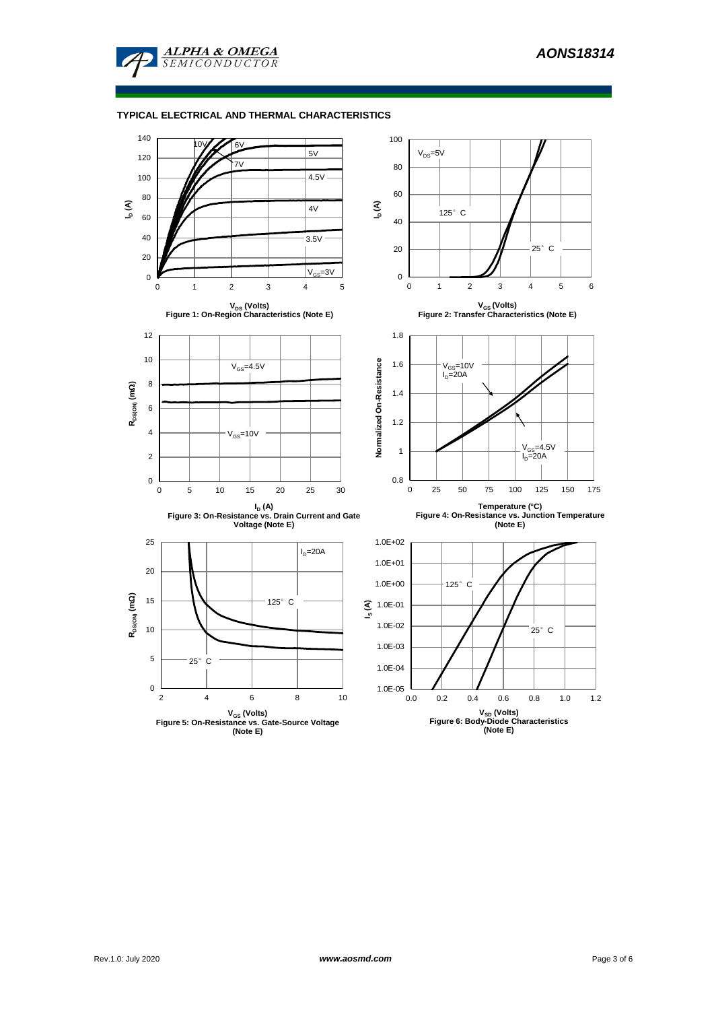

#### **TYPICAL ELECTRICAL AND THERMAL CHARACTERISTICS**

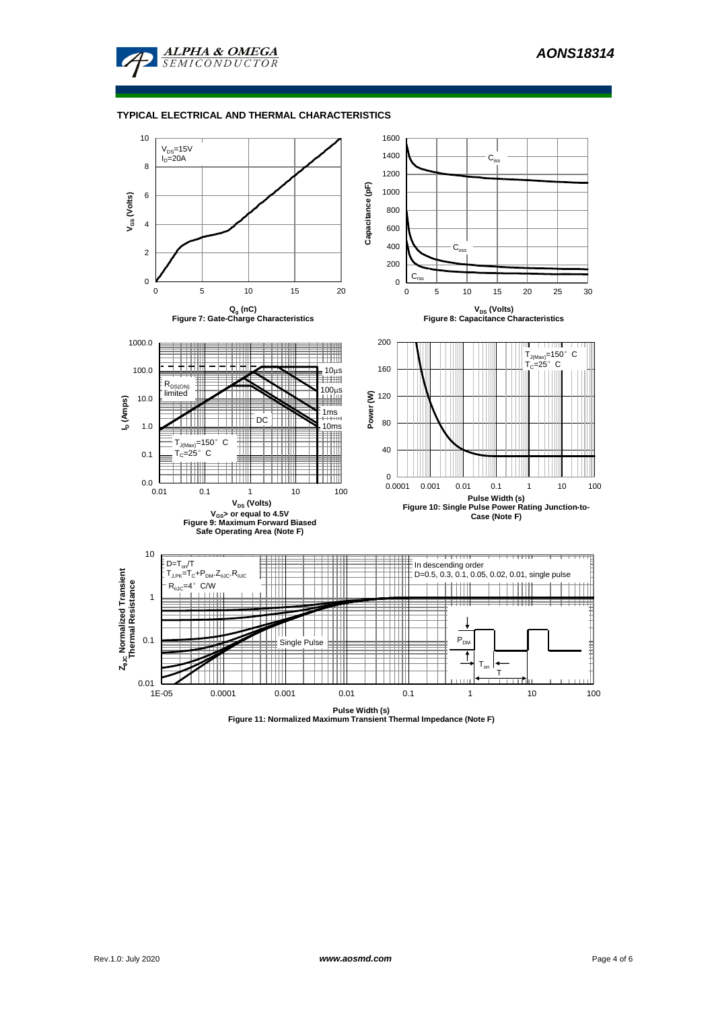

#### **TYPICAL ELECTRICAL AND THERMAL CHARACTERISTICS**



**Pulse Width (s) Figure 11: Normalized Maximum Transient Thermal Impedance (Note F)**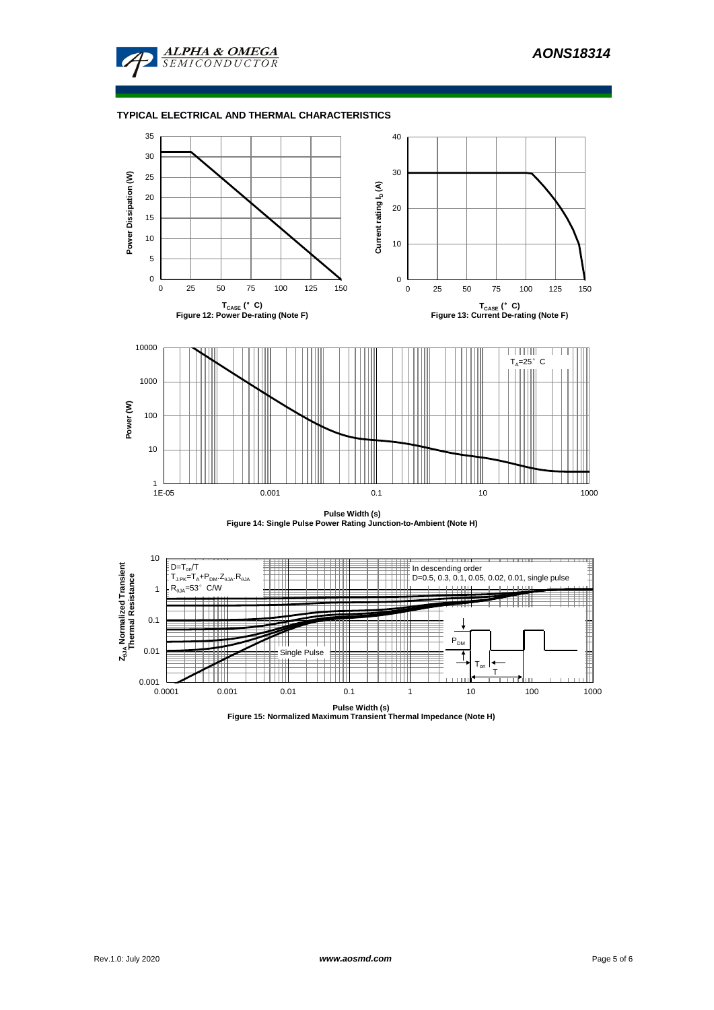

### **TYPICAL ELECTRICAL AND THERMAL CHARACTERISTICS**



**Pulse Width (s) Figure 14: Single Pulse Power Rating Junction-to-Ambient (Note H)**



**Pulse Width (s) Figure 15: Normalized Maximum Transient Thermal Impedance (Note H)**